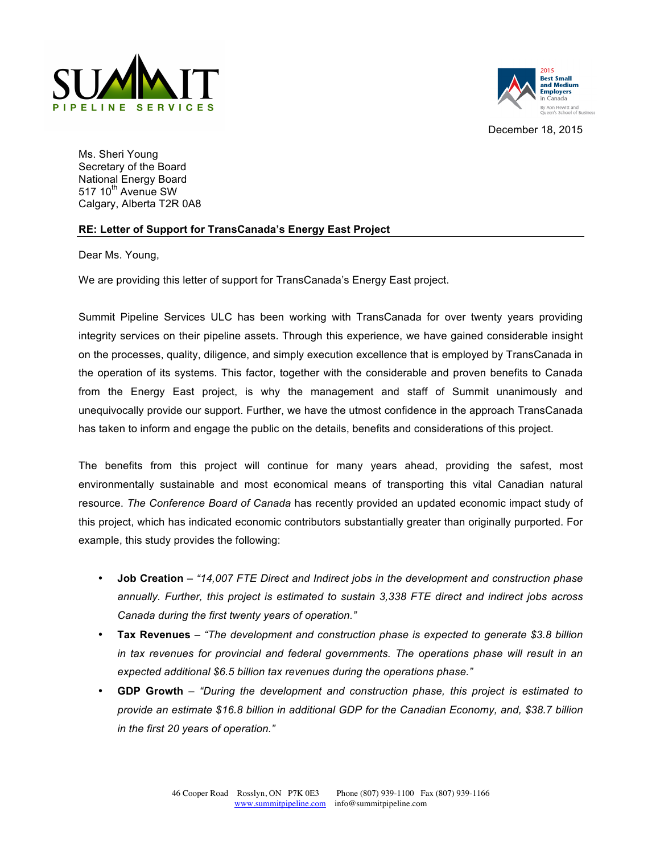



December 18, 2015

Ms. Sheri Young Secretary of the Board National Energy Board 517 10<sup>th</sup> Avenue SW Calgary, Alberta T2R 0A8

## **RE: Letter of Support for TransCanada's Energy East Project**

Dear Ms. Young,

We are providing this letter of support for TransCanada's Energy East project.

Summit Pipeline Services ULC has been working with TransCanada for over twenty years providing integrity services on their pipeline assets. Through this experience, we have gained considerable insight on the processes, quality, diligence, and simply execution excellence that is employed by TransCanada in the operation of its systems. This factor, together with the considerable and proven benefits to Canada from the Energy East project, is why the management and staff of Summit unanimously and unequivocally provide our support. Further, we have the utmost confidence in the approach TransCanada has taken to inform and engage the public on the details, benefits and considerations of this project.

The benefits from this project will continue for many years ahead, providing the safest, most environmentally sustainable and most economical means of transporting this vital Canadian natural resource. *The Conference Board of Canada* has recently provided an updated economic impact study of this project, which has indicated economic contributors substantially greater than originally purported. For example, this study provides the following:

- **Job Creation** *– "14,007 FTE Direct and Indirect jobs in the development and construction phase annually. Further, this project is estimated to sustain 3,338 FTE direct and indirect jobs across Canada during the first twenty years of operation."*
- **Tax Revenues** *– "The development and construction phase is expected to generate \$3.8 billion in tax revenues for provincial and federal governments. The operations phase will result in an expected additional \$6.5 billion tax revenues during the operations phase."*
- **GDP Growth** *– "During the development and construction phase, this project is estimated to provide an estimate \$16.8 billion in additional GDP for the Canadian Economy, and, \$38.7 billion in the first 20 years of operation."*